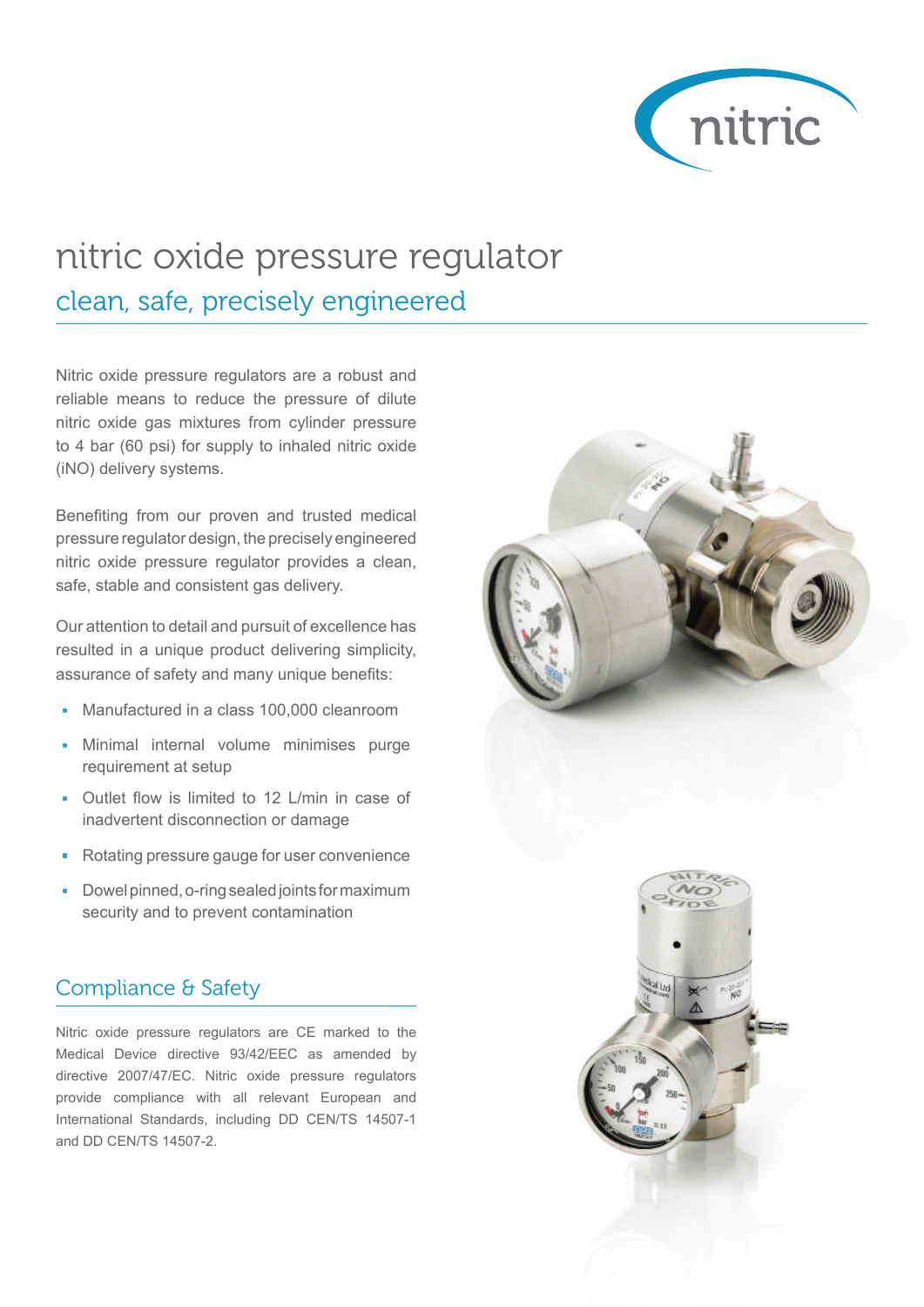

## nitric oxide pressure regulator clean, safe, precisely engineered

Nitric oxide pressure regulators are a robust and reliable means to reduce the pressure of dilute nitric oxide gas mixtures from cylinder pressure to 4 bar (60 psi) for supply to inhaled nitric oxide (iNO) delivery systems.

Benefiting from our proven and trusted medical pressure regulator design, the precisely engineered nitric oxide pressure regulator provides a clean, safe, stable and consistent gas delivery.

Our attention to detail and pursuit of excellence has resulted in a unique product delivering simplicity, assurance of safety and many unique benefits:

- Manufactured in a class 100,000 cleanroom
- **Minimal internal volume minimises purge** requirement at setup
- Outlet flow is limited to 12 L/min in case of inadvertent disconnection or damage
- Rotating pressure gauge for user convenience
- Dowel pinned, o-ring sealed joints for maximum security and to prevent contamination

## Compliance & Safety

Nitric oxide pressure regulators are CE marked to the Medical Device directive 93/42/EEC as amended by directive 2007/47/EC. Nitric oxide pressure regulators provide compliance with all relevant European and International Standards, including DD CEN/TS 14507-1 and DD CEN/TS 14507-2.